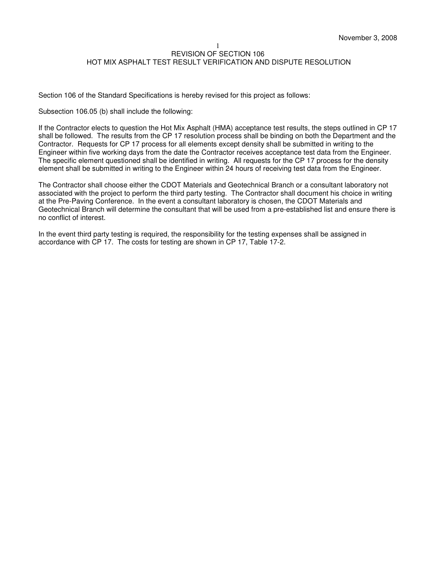Section 106 of the Standard Specifications is hereby revised for this project as follows:

Subsection 106.05 (b) shall include the following:

If the Contractor elects to question the Hot Mix Asphalt (HMA) acceptance test results, the steps outlined in CP 17 shall be followed. The results from the CP 17 resolution process shall be binding on both the Department and the Contractor. Requests for CP 17 process for all elements except density shall be submitted in writing to the Engineer within five working days from the date the Contractor receives acceptance test data from the Engineer. The specific element questioned shall be identified in writing. All requests for the CP 17 process for the density element shall be submitted in writing to the Engineer within 24 hours of receiving test data from the Engineer.

The Contractor shall choose either the CDOT Materials and Geotechnical Branch or a consultant laboratory not associated with the project to perform the third party testing. The Contractor shall document his choice in writing at the Pre-Paving Conference. In the event a consultant laboratory is chosen, the CDOT Materials and Geotechnical Branch will determine the consultant that will be used from a pre-established list and ensure there is no conflict of interest.

In the event third party testing is required, the responsibility for the testing expenses shall be assigned in accordance with CP 17. The costs for testing are shown in CP 17, Table 17-2.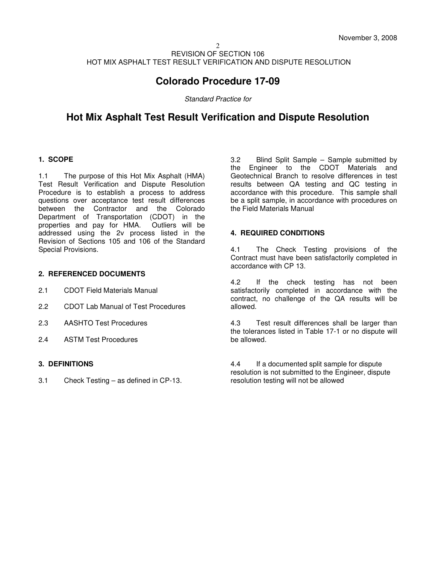# **Colorado Procedure 17-09**

Standard Practice for

# **Hot Mix Asphalt Test Result Verification and Dispute Resolution**

## **1. SCOPE**

1.1 The purpose of this Hot Mix Asphalt (HMA) Test Result Verification and Dispute Resolution Procedure is to establish a process to address questions over acceptance test result differences between the Contractor and the Colorado Department of Transportation (CDOT) in the properties and pay for HMA. Outliers will be addressed using the 2v process listed in the Revision of Sections 105 and 106 of the Standard Special Provisions.

### **2. REFERENCED DOCUMENTS**

- 2.1 CDOT Field Materials Manual
- 2.2 CDOT Lab Manual of Test Procedures
- 2.3 AASHTO Test Procedures
- 2.4 ASTM Test Procedures

## **3. DEFINITIONS**

3.1 Check Testing – as defined in CP-13.

3.2 Blind Split Sample – Sample submitted by the Engineer to the CDOT Materials and Geotechnical Branch to resolve differences in test results between QA testing and QC testing in accordance with this procedure. This sample shall be a split sample, in accordance with procedures on the Field Materials Manual

### **4. REQUIRED CONDITIONS**

4.1 The Check Testing provisions of the Contract must have been satisfactorily completed in accordance with CP 13.

4.2 If the check testing has not been satisfactorily completed in accordance with the contract, no challenge of the QA results will be allowed.

4.3 Test result differences shall be larger than the tolerances listed in Table 17-1 or no dispute will be allowed.

4.4 If a documented split sample for dispute resolution is not submitted to the Engineer, dispute resolution testing will not be allowed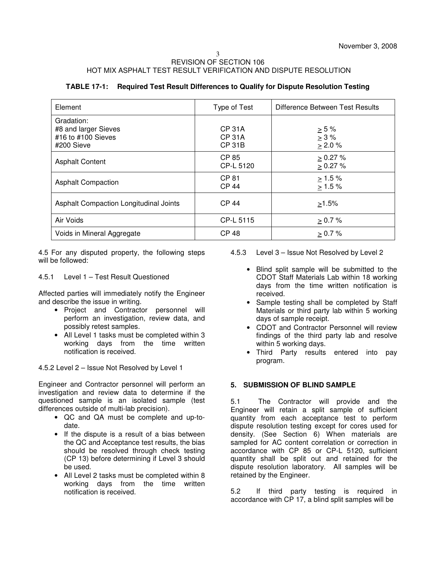| TABLE 17-1: Required Test Result Differences to Qualify for Dispute Resolution Testing |  |
|----------------------------------------------------------------------------------------|--|
|----------------------------------------------------------------------------------------|--|

| Element                                                                | Type of Test                                    | Difference Between Test Results          |
|------------------------------------------------------------------------|-------------------------------------------------|------------------------------------------|
| Gradation:<br>#8 and larger Sieves<br>#16 to #100 Sieves<br>#200 Sieve | <b>CP 31A</b><br><b>CP 31A</b><br><b>CP 31B</b> | $\geq 5 \%$<br>$> 3 \%$<br>$\geq 2.0 \%$ |
| <b>Asphalt Content</b>                                                 | <b>CP 85</b><br>CP-L 5120                       | $> 0.27 \%$<br>> 0.27 %                  |
| <b>Asphalt Compaction</b>                                              | CP 81<br><b>CP 44</b>                           | $\geq 1.5 \%$<br>$> 1.5 \%$              |
| Asphalt Compaction Longitudinal Joints                                 | <b>CP 44</b>                                    | $>1.5\%$                                 |
| Air Voids                                                              | CP-L 5115                                       | $\geq 0.7 \%$                            |
| Voids in Mineral Aggregate                                             | <b>CP 48</b>                                    | $> 0.7 \%$                               |

4.5 For any disputed property, the following steps will be followed:

4.5.1 Level 1 – Test Result Questioned

Affected parties will immediately notify the Engineer and describe the issue in writing.

- Project and Contractor personnel will perform an investigation, review data, and possibly retest samples.
- All Level 1 tasks must be completed within 3 working days from the time written notification is received.

4.5.2 Level 2 – Issue Not Resolved by Level 1

Engineer and Contractor personnel will perform an investigation and review data to determine if the questioned sample is an isolated sample (test differences outside of multi-lab precision).

- QC and QA must be complete and up-todate.
- If the dispute is a result of a bias between the QC and Acceptance test results, the bias should be resolved through check testing (CP 13) before determining if Level 3 should be used.
- All Level 2 tasks must be completed within 8 working days from the time written notification is received.
- 4.5.3 Level 3 Issue Not Resolved by Level 2
	- Blind split sample will be submitted to the CDOT Staff Materials Lab within 18 working days from the time written notification is received.
	- Sample testing shall be completed by Staff Materials or third party lab within 5 working days of sample receipt.
	- CDOT and Contractor Personnel will review findings of the third party lab and resolve within 5 working days.
	- Third Party results entered into pay program.

### **5. SUBMISSION OF BLIND SAMPLE**

5.1 The Contractor will provide and the Engineer will retain a split sample of sufficient quantity from each acceptance test to perform dispute resolution testing except for cores used for density. (See Section 6) When materials are sampled for AC content correlation or correction in accordance with CP 85 or CP-L 5120, sufficient quantity shall be split out and retained for the dispute resolution laboratory. All samples will be retained by the Engineer.

5.2 If third party testing is required in accordance with CP 17, a blind split samples will be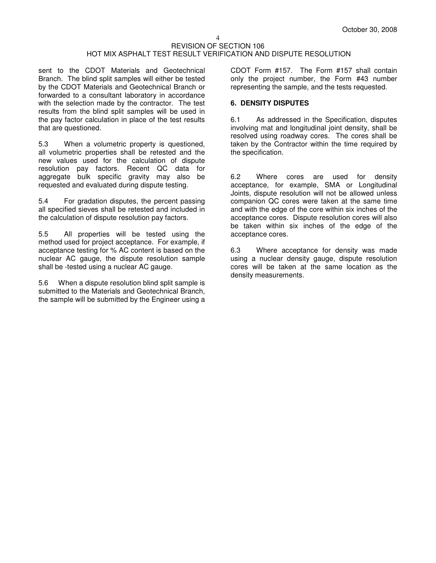sent to the CDOT Materials and Geotechnical Branch. The blind split samples will either be tested by the CDOT Materials and Geotechnical Branch or forwarded to a consultant laboratory in accordance with the selection made by the contractor. The test results from the blind split samples will be used in the pay factor calculation in place of the test results that are questioned.

5.3 When a volumetric property is questioned, all volumetric properties shall be retested and the new values used for the calculation of dispute resolution pay factors. Recent QC data for aggregate bulk specific gravity may also be requested and evaluated during dispute testing.

5.4 For gradation disputes, the percent passing all specified sieves shall be retested and included in the calculation of dispute resolution pay factors.

5.5 All properties will be tested using the method used for project acceptance. For example, if acceptance testing for % AC content is based on the nuclear AC gauge, the dispute resolution sample shall be -tested using a nuclear AC gauge.

5.6 When a dispute resolution blind split sample is submitted to the Materials and Geotechnical Branch, the sample will be submitted by the Engineer using a

CDOT Form #157. The Form #157 shall contain only the project number, the Form #43 number representing the sample, and the tests requested.

### **6. DENSITY DISPUTES**

6.1 As addressed in the Specification, disputes involving mat and longitudinal joint density, shall be resolved using roadway cores. The cores shall be taken by the Contractor within the time required by the specification.

6.2 Where cores are used for density acceptance, for example, SMA or Longitudinal Joints, dispute resolution will not be allowed unless companion QC cores were taken at the same time and with the edge of the core within six inches of the acceptance cores. Dispute resolution cores will also be taken within six inches of the edge of the acceptance cores.

6.3 Where acceptance for density was made using a nuclear density gauge, dispute resolution cores will be taken at the same location as the density measurements.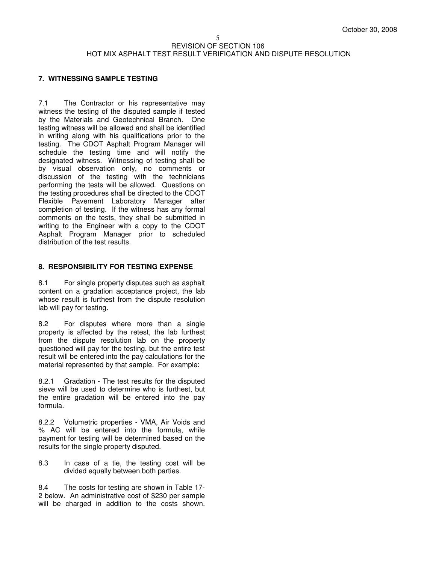## **7. WITNESSING SAMPLE TESTING**

7.1 The Contractor or his representative may witness the testing of the disputed sample if tested by the Materials and Geotechnical Branch. One testing witness will be allowed and shall be identified in writing along with his qualifications prior to the testing. The CDOT Asphalt Program Manager will schedule the testing time and will notify the designated witness. Witnessing of testing shall be by visual observation only, no comments or discussion of the testing with the technicians performing the tests will be allowed. Questions on the testing procedures shall be directed to the CDOT Flexible Pavement Laboratory Manager after completion of testing. If the witness has any formal comments on the tests, they shall be submitted in writing to the Engineer with a copy to the CDOT Asphalt Program Manager prior to scheduled distribution of the test results.

### **8. RESPONSIBILITY FOR TESTING EXPENSE**

8.1 For single property disputes such as asphalt content on a gradation acceptance project, the lab whose result is furthest from the dispute resolution lab will pay for testing.

8.2 For disputes where more than a single property is affected by the retest, the lab furthest from the dispute resolution lab on the property questioned will pay for the testing, but the entire test result will be entered into the pay calculations for the material represented by that sample. For example:

8.2.1 Gradation - The test results for the disputed sieve will be used to determine who is furthest, but the entire gradation will be entered into the pay formula.

8.2.2 Volumetric properties - VMA, Air Voids and % AC will be entered into the formula, while payment for testing will be determined based on the results for the single property disputed.

8.3 In case of a tie, the testing cost will be divided equally between both parties.

8.4 The costs for testing are shown in Table 17- 2 below. An administrative cost of \$230 per sample will be charged in addition to the costs shown.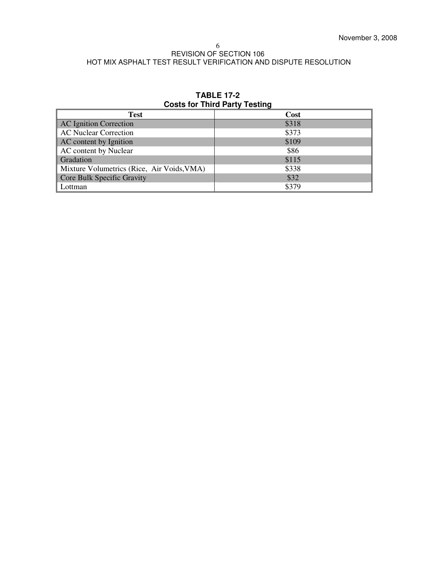| <b>Test</b>                                | <b>Cost</b> |
|--------------------------------------------|-------------|
| <b>AC Ignition Correction</b>              | \$318       |
| <b>AC Nuclear Correction</b>               | \$373       |
| AC content by Ignition                     | \$109       |
| AC content by Nuclear                      | \$86        |
| Gradation                                  | \$115       |
| Mixture Volumetrics (Rice, Air Voids, VMA) | \$338       |
| Core Bulk Specific Gravity                 | \$32        |
| Lottman                                    | \$379       |

## **TABLE 17-2 Costs for Third Party Testing**